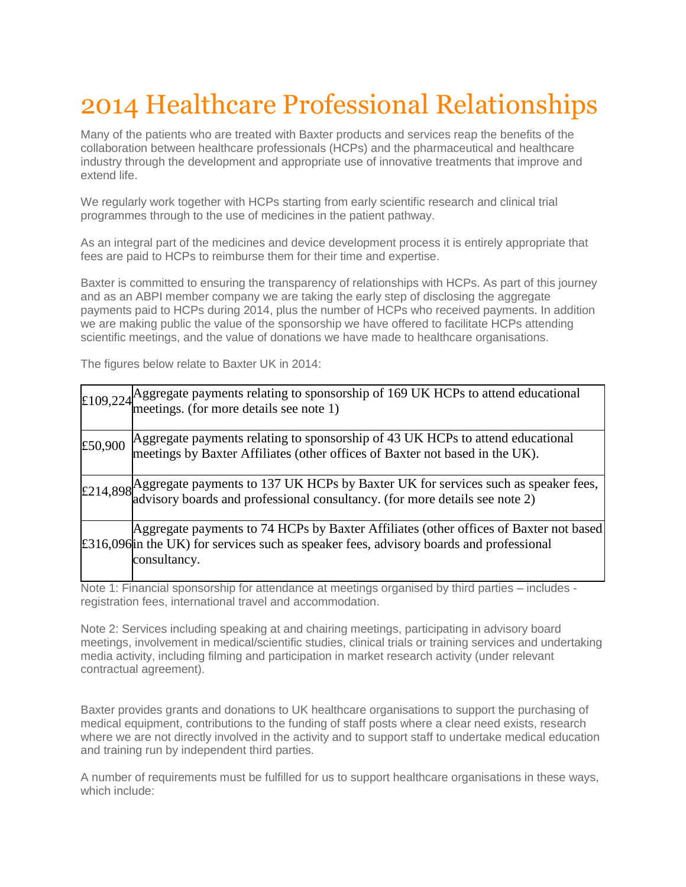## 2014 Healthcare Professional Relationships

Many of the patients who are treated with Baxter products and services reap the benefits of the collaboration between healthcare professionals (HCPs) and the pharmaceutical and healthcare industry through the development and appropriate use of innovative treatments that improve and extend life.

We regularly work together with HCPs starting from early scientific research and clinical trial programmes through to the use of medicines in the patient pathway.

As an integral part of the medicines and device development process it is entirely appropriate that fees are paid to HCPs to reimburse them for their time and expertise.

Baxter is committed to ensuring the transparency of relationships with HCPs. As part of this journey and as an ABPI member company we are taking the early step of disclosing the aggregate payments paid to HCPs during 2014, plus the number of HCPs who received payments. In addition we are making public the value of the sponsorship we have offered to facilitate HCPs attending scientific meetings, and the value of donations we have made to healthcare organisations.

The figures below relate to Baxter UK in 2014:

|         | $\pm$ 109,224 Aggregate payments relating to sponsorship of 169 UK HCPs to attend educational meetings. (for more details see note 1)                                                                            |
|---------|------------------------------------------------------------------------------------------------------------------------------------------------------------------------------------------------------------------|
| £50,900 | Aggregate payments relating to sponsorship of 43 UK HCPs to attend educational<br>meetings by Baxter Affiliates (other offices of Baxter not based in the UK).                                                   |
|         | $\pm$ 214,898 Aggregate payments to 137 UK HCPs by Baxter UK for services such as speaker fees,<br>$\pm$ 214,898 advisory boards and professional consultancy. (for more details see note 2)                     |
|         | Aggregate payments to 74 HCPs by Baxter Affiliates (other offices of Baxter not based)<br>$\text{\pounds}316,096$ in the UK) for services such as speaker fees, advisory boards and professional<br>consultancy. |

Note 1: Financial sponsorship for attendance at meetings organised by third parties – includes registration fees, international travel and accommodation.

Note 2: Services including speaking at and chairing meetings, participating in advisory board meetings, involvement in medical/scientific studies, clinical trials or training services and undertaking media activity, including filming and participation in market research activity (under relevant contractual agreement).

Baxter provides grants and donations to UK healthcare organisations to support the purchasing of medical equipment, contributions to the funding of staff posts where a clear need exists, research where we are not directly involved in the activity and to support staff to undertake medical education and training run by independent third parties.

A number of requirements must be fulfilled for us to support healthcare organisations in these ways, which include: